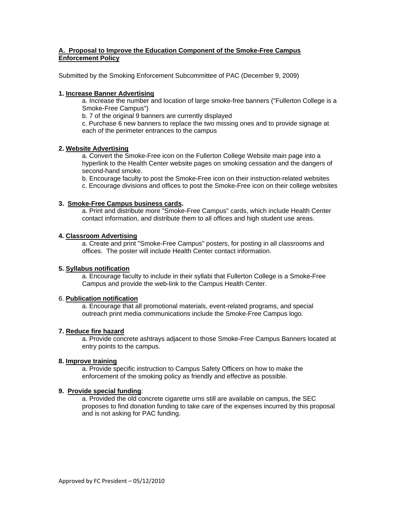# **A. Proposal to Improve the Education Component of the Smoke-Free Campus Enforcement Policy**

Submitted by the Smoking Enforcement Subcommittee of PAC (December 9, 2009)

## **1. Increase Banner Advertising**

a. Increase the number and location of large smoke-free banners ("Fullerton College is a Smoke-Free Campus")

b. 7 of the original 9 banners are currently displayed

c. Purchase 6 new banners to replace the two missing ones and to provide signage at each of the perimeter entrances to the campus

## **2. Website Advertising**

a. Convert the Smoke-Free icon on the Fullerton College Website main page into a hyperlink to the Health Center website pages on smoking cessation and the dangers of second-hand smoke.

b. Encourage faculty to post the Smoke-Free icon on their instruction-related websites

c. Encourage divisions and offices to post the Smoke-Free icon on their college websites

## **3. Smoke-Free Campus business cards.**

a. Print and distribute more "Smoke-Free Campus" cards, which include Health Center contact information, and distribute them to all offices and high student use areas.

## **4. Classroom Advertising**

a. Create and print "Smoke-Free Campus" posters, for posting in all classrooms and offices. The poster will include Health Center contact information.

#### **5. Syllabus notification**

a. Encourage faculty to include in their syllabi that Fullerton College is a Smoke-Free Campus and provide the web-link to the Campus Health Center.

#### 6. **Publication notification**

 a. Encourage that all promotional materials, event-related programs, and special outreach print media communications include the Smoke-Free Campus logo.

# **7. Reduce fire hazard**

 a. Provide concrete ashtrays adjacent to those Smoke-Free Campus Banners located at entry points to the campus.

#### **8. Improve training**

 a. Provide specific instruction to Campus Safety Officers on how to make the enforcement of the smoking policy as friendly and effective as possible.

#### **9. Provide special funding**:

a. Provided the old concrete cigarette urns still are available on campus, the SEC proposes to find donation funding to take care of the expenses incurred by this proposal and is not asking for PAC funding.